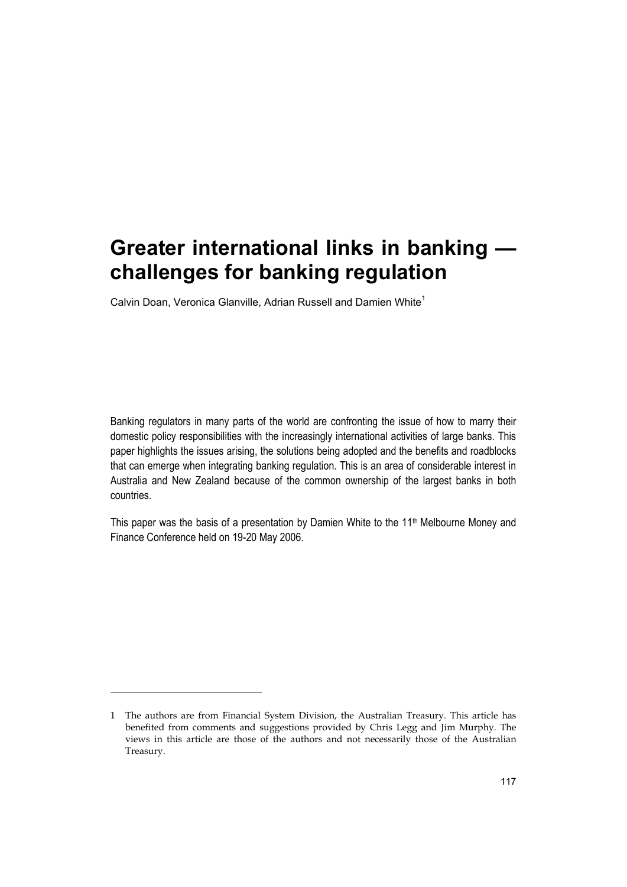Calvin Doan, Veronica Glanville, Adrian Russell and Damien White<sup>1</sup>

Banking regulators in many parts of the world are confronting the issue of how to marry their domestic policy responsibilities with the increasingly international activities of large banks. This paper highlights the issues arising, the solutions being adopted and the benefits and roadblocks that can emerge when integrating banking regulation. This is an area of considerable interest in Australia and New Zealand because of the common ownership of the largest banks in both countries.

This paper was the basis of a presentation by Damien White to the  $11<sup>th</sup>$  Melbourne Money and Finance Conference held on 19-20 May 2006.

-

<sup>1</sup> The authors are from Financial System Division, the Australian Treasury. This article has benefited from comments and suggestions provided by Chris Legg and Jim Murphy. The views in this article are those of the authors and not necessarily those of the Australian Treasury.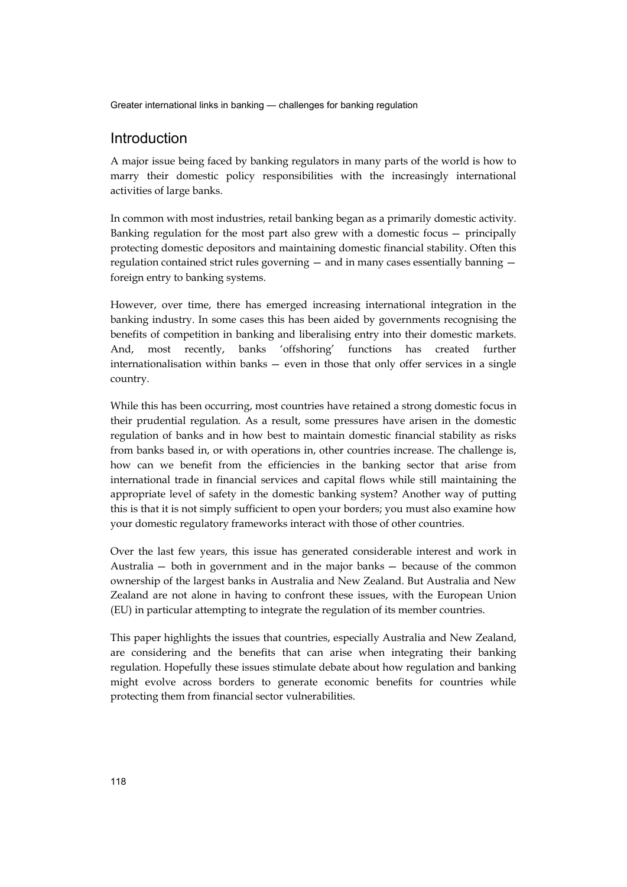# Introduction

A major issue being faced by banking regulators in many parts of the world is how to marry their domestic policy responsibilities with the increasingly international activities of large banks.

In common with most industries, retail banking began as a primarily domestic activity. Banking regulation for the most part also grew with a domestic focus — principally protecting domestic depositors and maintaining domestic financial stability. Often this regulation contained strict rules governing — and in many cases essentially banning foreign entry to banking systems.

However, over time, there has emerged increasing international integration in the banking industry. In some cases this has been aided by governments recognising the benefits of competition in banking and liberalising entry into their domestic markets. And, most recently, banks 'offshoring' functions has created further internationalisation within banks — even in those that only offer services in a single country.

While this has been occurring, most countries have retained a strong domestic focus in their prudential regulation. As a result, some pressures have arisen in the domestic regulation of banks and in how best to maintain domestic financial stability as risks from banks based in, or with operations in, other countries increase. The challenge is, how can we benefit from the efficiencies in the banking sector that arise from international trade in financial services and capital flows while still maintaining the appropriate level of safety in the domestic banking system? Another way of putting this is that it is not simply sufficient to open your borders; you must also examine how your domestic regulatory frameworks interact with those of other countries.

Over the last few years, this issue has generated considerable interest and work in Australia — both in government and in the major banks — because of the common ownership of the largest banks in Australia and New Zealand. But Australia and New Zealand are not alone in having to confront these issues, with the European Union (EU) in particular attempting to integrate the regulation of its member countries.

This paper highlights the issues that countries, especially Australia and New Zealand, are considering and the benefits that can arise when integrating their banking regulation. Hopefully these issues stimulate debate about how regulation and banking might evolve across borders to generate economic benefits for countries while protecting them from financial sector vulnerabilities.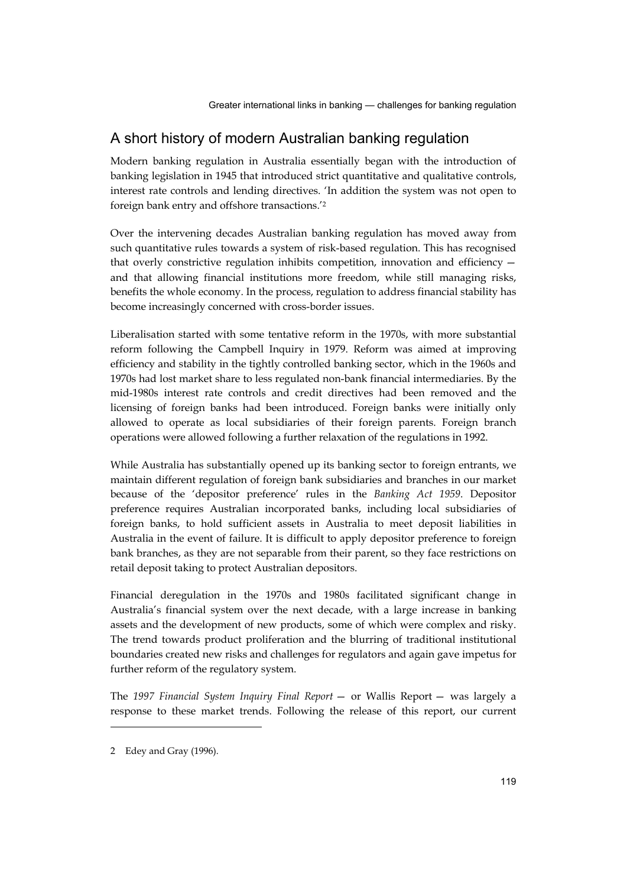## A short history of modern Australian banking regulation

Modern banking regulation in Australia essentially began with the introduction of banking legislation in 1945 that introduced strict quantitative and qualitative controls, interest rate controls and lending directives. 'In addition the system was not open to foreign bank entry and offshore transactions.'2

Over the intervening decades Australian banking regulation has moved away from such quantitative rules towards a system of risk-based regulation. This has recognised that overly constrictive regulation inhibits competition, innovation and efficiency and that allowing financial institutions more freedom, while still managing risks, benefits the whole economy. In the process, regulation to address financial stability has become increasingly concerned with cross-border issues.

Liberalisation started with some tentative reform in the 1970s, with more substantial reform following the Campbell Inquiry in 1979. Reform was aimed at improving efficiency and stability in the tightly controlled banking sector, which in the 1960s and 1970s had lost market share to less regulated non-bank financial intermediaries. By the mid-1980s interest rate controls and credit directives had been removed and the licensing of foreign banks had been introduced. Foreign banks were initially only allowed to operate as local subsidiaries of their foreign parents. Foreign branch operations were allowed following a further relaxation of the regulations in 1992.

While Australia has substantially opened up its banking sector to foreign entrants, we maintain different regulation of foreign bank subsidiaries and branches in our market because of the 'depositor preference' rules in the *Banking Act 1959*. Depositor preference requires Australian incorporated banks, including local subsidiaries of foreign banks, to hold sufficient assets in Australia to meet deposit liabilities in Australia in the event of failure. It is difficult to apply depositor preference to foreign bank branches, as they are not separable from their parent, so they face restrictions on retail deposit taking to protect Australian depositors.

Financial deregulation in the 1970s and 1980s facilitated significant change in Australia's financial system over the next decade, with a large increase in banking assets and the development of new products, some of which were complex and risky. The trend towards product proliferation and the blurring of traditional institutional boundaries created new risks and challenges for regulators and again gave impetus for further reform of the regulatory system.

The *1997 Financial System Inquiry Final Report* — or Wallis Report — was largely a response to these market trends. Following the release of this report, our current

j

<sup>2</sup> Edey and Gray (1996).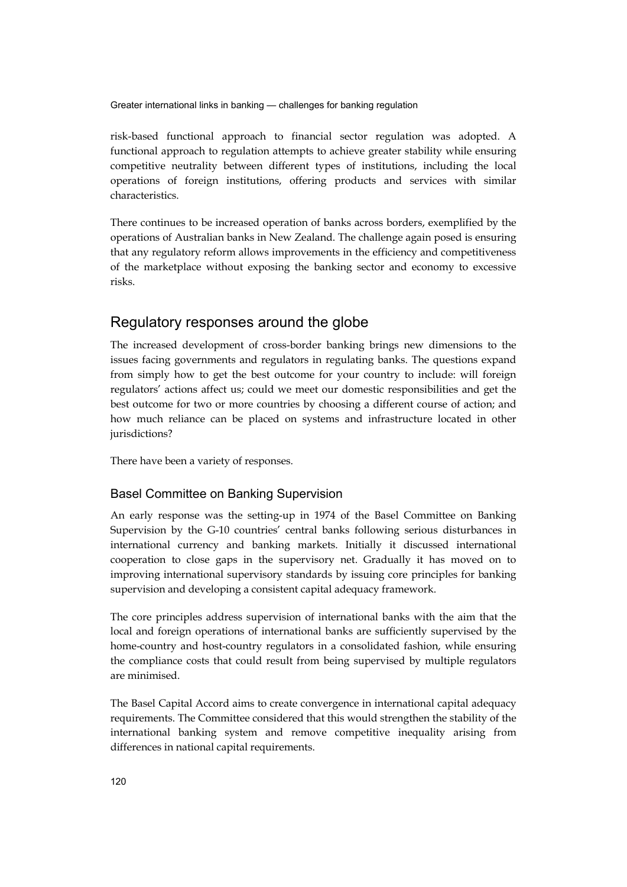risk-based functional approach to financial sector regulation was adopted. A functional approach to regulation attempts to achieve greater stability while ensuring competitive neutrality between different types of institutions, including the local operations of foreign institutions, offering products and services with similar characteristics.

There continues to be increased operation of banks across borders, exemplified by the operations of Australian banks in New Zealand. The challenge again posed is ensuring that any regulatory reform allows improvements in the efficiency and competitiveness of the marketplace without exposing the banking sector and economy to excessive risks.

# Regulatory responses around the globe

The increased development of cross-border banking brings new dimensions to the issues facing governments and regulators in regulating banks. The questions expand from simply how to get the best outcome for your country to include: will foreign regulators' actions affect us; could we meet our domestic responsibilities and get the best outcome for two or more countries by choosing a different course of action; and how much reliance can be placed on systems and infrastructure located in other jurisdictions?

There have been a variety of responses.

#### Basel Committee on Banking Supervision

An early response was the setting-up in 1974 of the Basel Committee on Banking Supervision by the G-10 countries' central banks following serious disturbances in international currency and banking markets. Initially it discussed international cooperation to close gaps in the supervisory net. Gradually it has moved on to improving international supervisory standards by issuing core principles for banking supervision and developing a consistent capital adequacy framework.

The core principles address supervision of international banks with the aim that the local and foreign operations of international banks are sufficiently supervised by the home-country and host-country regulators in a consolidated fashion, while ensuring the compliance costs that could result from being supervised by multiple regulators are minimised.

The Basel Capital Accord aims to create convergence in international capital adequacy requirements. The Committee considered that this would strengthen the stability of the international banking system and remove competitive inequality arising from differences in national capital requirements.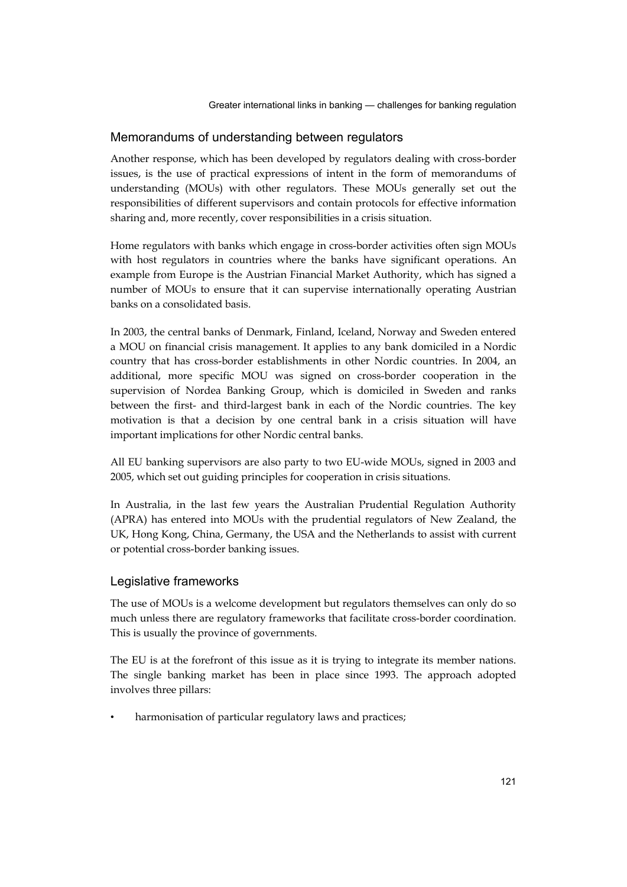#### Memorandums of understanding between regulators

Another response, which has been developed by regulators dealing with cross-border issues, is the use of practical expressions of intent in the form of memorandums of understanding (MOUs) with other regulators. These MOUs generally set out the responsibilities of different supervisors and contain protocols for effective information sharing and, more recently, cover responsibilities in a crisis situation.

Home regulators with banks which engage in cross-border activities often sign MOUs with host regulators in countries where the banks have significant operations. An example from Europe is the Austrian Financial Market Authority, which has signed a number of MOUs to ensure that it can supervise internationally operating Austrian banks on a consolidated basis.

In 2003, the central banks of Denmark, Finland, Iceland, Norway and Sweden entered a MOU on financial crisis management. It applies to any bank domiciled in a Nordic country that has cross-border establishments in other Nordic countries. In 2004, an additional, more specific MOU was signed on cross-border cooperation in the supervision of Nordea Banking Group, which is domiciled in Sweden and ranks between the first- and third-largest bank in each of the Nordic countries. The key motivation is that a decision by one central bank in a crisis situation will have important implications for other Nordic central banks.

All EU banking supervisors are also party to two EU-wide MOUs, signed in 2003 and 2005, which set out guiding principles for cooperation in crisis situations.

In Australia, in the last few years the Australian Prudential Regulation Authority (APRA) has entered into MOUs with the prudential regulators of New Zealand, the UK, Hong Kong, China, Germany, the USA and the Netherlands to assist with current or potential cross-border banking issues.

#### Legislative frameworks

The use of MOUs is a welcome development but regulators themselves can only do so much unless there are regulatory frameworks that facilitate cross-border coordination. This is usually the province of governments.

The EU is at the forefront of this issue as it is trying to integrate its member nations. The single banking market has been in place since 1993. The approach adopted involves three pillars:

harmonisation of particular regulatory laws and practices;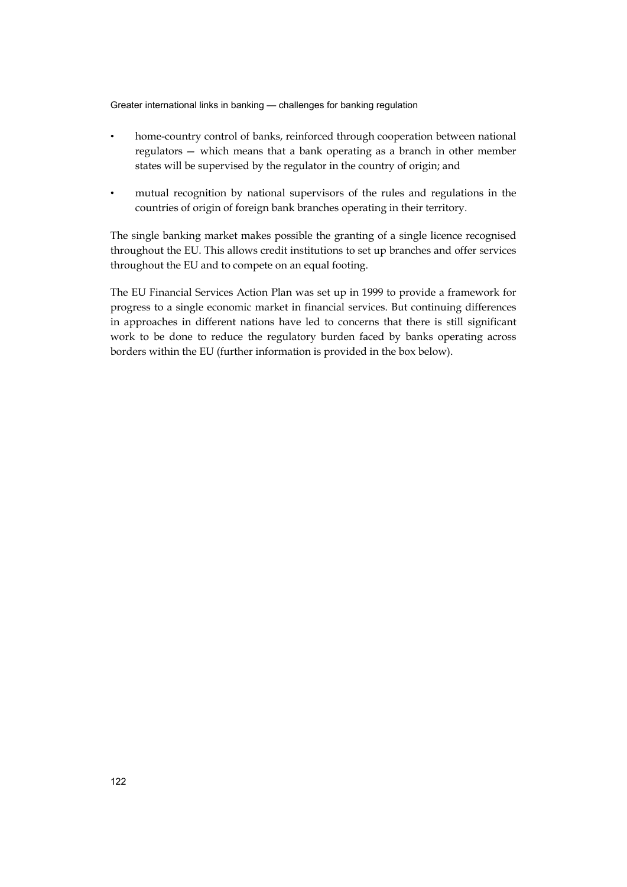- home-country control of banks, reinforced through cooperation between national regulators — which means that a bank operating as a branch in other member states will be supervised by the regulator in the country of origin; and
- mutual recognition by national supervisors of the rules and regulations in the countries of origin of foreign bank branches operating in their territory.

The single banking market makes possible the granting of a single licence recognised throughout the EU. This allows credit institutions to set up branches and offer services throughout the EU and to compete on an equal footing.

The EU Financial Services Action Plan was set up in 1999 to provide a framework for progress to a single economic market in financial services. But continuing differences in approaches in different nations have led to concerns that there is still significant work to be done to reduce the regulatory burden faced by banks operating across borders within the EU (further information is provided in the box below).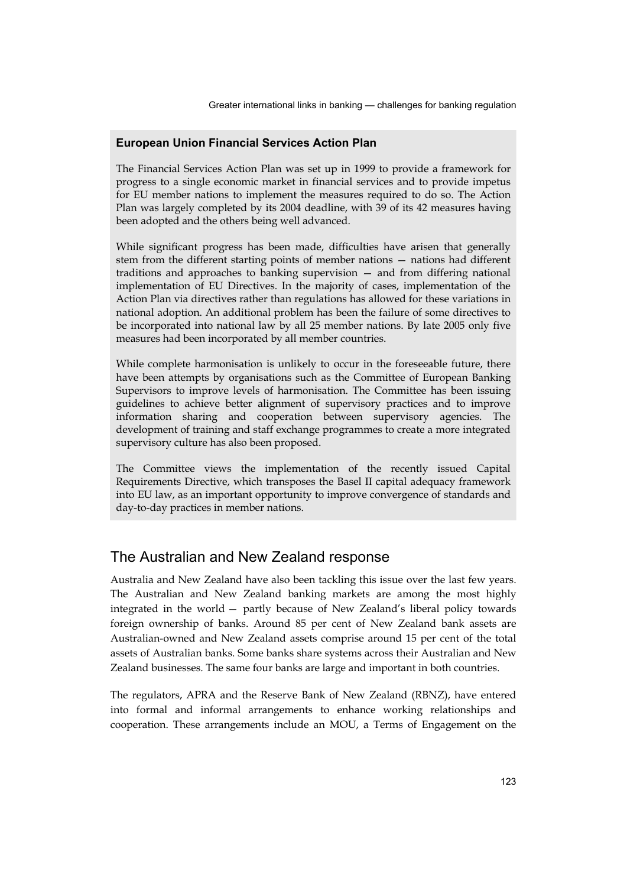#### **European Union Financial Services Action Plan**

The Financial Services Action Plan was set up in 1999 to provide a framework for progress to a single economic market in financial services and to provide impetus for EU member nations to implement the measures required to do so. The Action Plan was largely completed by its 2004 deadline, with 39 of its 42 measures having been adopted and the others being well advanced.

While significant progress has been made, difficulties have arisen that generally stem from the different starting points of member nations — nations had different traditions and approaches to banking supervision — and from differing national implementation of EU Directives. In the majority of cases, implementation of the Action Plan via directives rather than regulations has allowed for these variations in national adoption. An additional problem has been the failure of some directives to be incorporated into national law by all 25 member nations. By late 2005 only five measures had been incorporated by all member countries.

While complete harmonisation is unlikely to occur in the foreseeable future, there have been attempts by organisations such as the Committee of European Banking Supervisors to improve levels of harmonisation. The Committee has been issuing guidelines to achieve better alignment of supervisory practices and to improve information sharing and cooperation between supervisory agencies. The development of training and staff exchange programmes to create a more integrated supervisory culture has also been proposed.

The Committee views the implementation of the recently issued Capital Requirements Directive, which transposes the Basel II capital adequacy framework into EU law, as an important opportunity to improve convergence of standards and day-to-day practices in member nations.

## The Australian and New Zealand response

Australia and New Zealand have also been tackling this issue over the last few years. The Australian and New Zealand banking markets are among the most highly integrated in the world — partly because of New Zealand's liberal policy towards foreign ownership of banks. Around 85 per cent of New Zealand bank assets are Australian-owned and New Zealand assets comprise around 15 per cent of the total assets of Australian banks. Some banks share systems across their Australian and New Zealand businesses. The same four banks are large and important in both countries.

The regulators, APRA and the Reserve Bank of New Zealand (RBNZ), have entered into formal and informal arrangements to enhance working relationships and cooperation. These arrangements include an MOU, a Terms of Engagement on the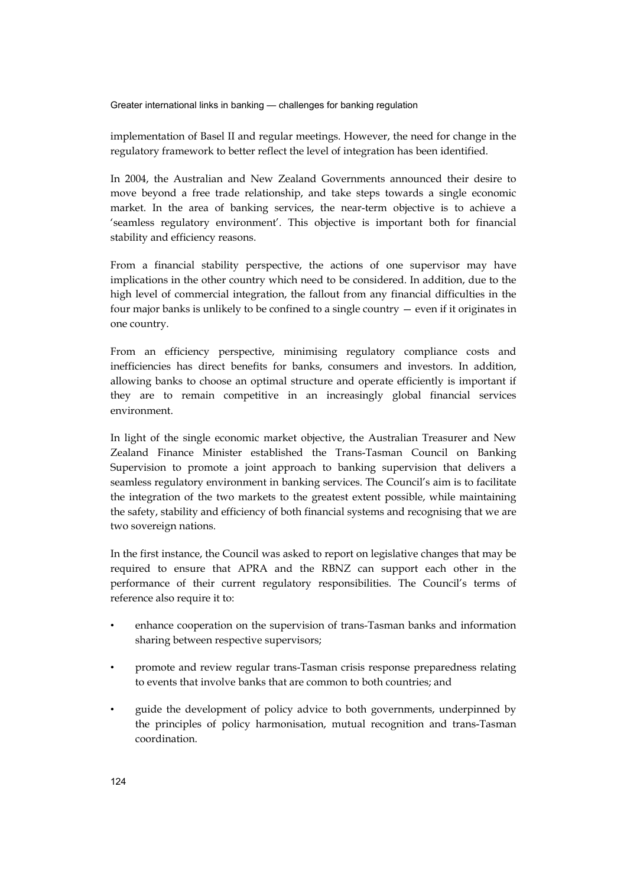implementation of Basel II and regular meetings. However, the need for change in the regulatory framework to better reflect the level of integration has been identified.

In 2004, the Australian and New Zealand Governments announced their desire to move beyond a free trade relationship, and take steps towards a single economic market. In the area of banking services, the near-term objective is to achieve a 'seamless regulatory environment'. This objective is important both for financial stability and efficiency reasons.

From a financial stability perspective, the actions of one supervisor may have implications in the other country which need to be considered. In addition, due to the high level of commercial integration, the fallout from any financial difficulties in the four major banks is unlikely to be confined to a single country — even if it originates in one country.

From an efficiency perspective, minimising regulatory compliance costs and inefficiencies has direct benefits for banks, consumers and investors. In addition, allowing banks to choose an optimal structure and operate efficiently is important if they are to remain competitive in an increasingly global financial services environment.

In light of the single economic market objective, the Australian Treasurer and New Zealand Finance Minister established the Trans-Tasman Council on Banking Supervision to promote a joint approach to banking supervision that delivers a seamless regulatory environment in banking services. The Council's aim is to facilitate the integration of the two markets to the greatest extent possible, while maintaining the safety, stability and efficiency of both financial systems and recognising that we are two sovereign nations.

In the first instance, the Council was asked to report on legislative changes that may be required to ensure that APRA and the RBNZ can support each other in the performance of their current regulatory responsibilities. The Council's terms of reference also require it to:

- enhance cooperation on the supervision of trans-Tasman banks and information sharing between respective supervisors;
- promote and review regular trans-Tasman crisis response preparedness relating to events that involve banks that are common to both countries; and
- guide the development of policy advice to both governments, underpinned by the principles of policy harmonisation, mutual recognition and trans-Tasman coordination.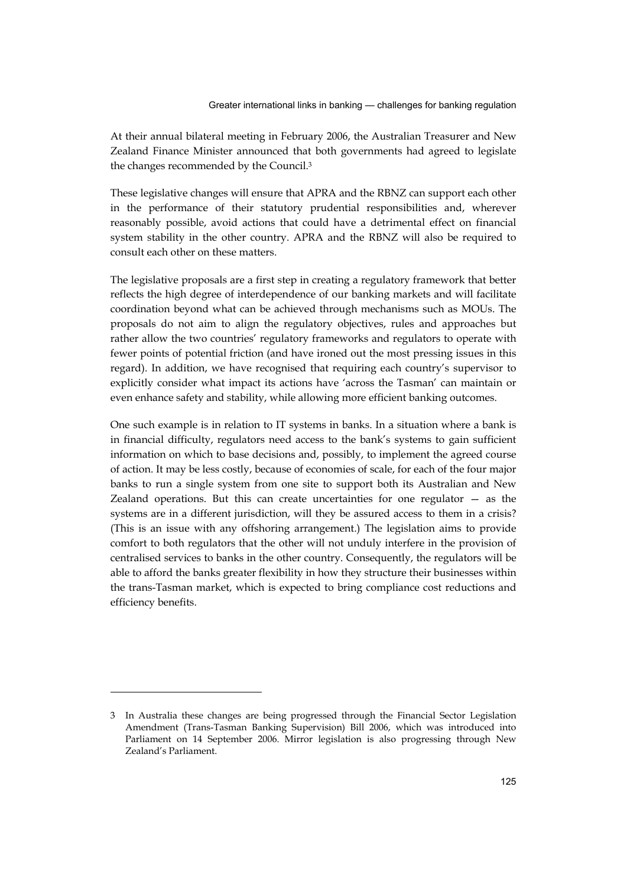At their annual bilateral meeting in February 2006, the Australian Treasurer and New Zealand Finance Minister announced that both governments had agreed to legislate the changes recommended by the Council.3

These legislative changes will ensure that APRA and the RBNZ can support each other in the performance of their statutory prudential responsibilities and, wherever reasonably possible, avoid actions that could have a detrimental effect on financial system stability in the other country. APRA and the RBNZ will also be required to consult each other on these matters.

The legislative proposals are a first step in creating a regulatory framework that better reflects the high degree of interdependence of our banking markets and will facilitate coordination beyond what can be achieved through mechanisms such as MOUs. The proposals do not aim to align the regulatory objectives, rules and approaches but rather allow the two countries' regulatory frameworks and regulators to operate with fewer points of potential friction (and have ironed out the most pressing issues in this regard). In addition, we have recognised that requiring each country's supervisor to explicitly consider what impact its actions have 'across the Tasman' can maintain or even enhance safety and stability, while allowing more efficient banking outcomes.

One such example is in relation to IT systems in banks. In a situation where a bank is in financial difficulty, regulators need access to the bank's systems to gain sufficient information on which to base decisions and, possibly, to implement the agreed course of action. It may be less costly, because of economies of scale, for each of the four major banks to run a single system from one site to support both its Australian and New Zealand operations. But this can create uncertainties for one regulator  $-$  as the systems are in a different jurisdiction, will they be assured access to them in a crisis? (This is an issue with any offshoring arrangement.) The legislation aims to provide comfort to both regulators that the other will not unduly interfere in the provision of centralised services to banks in the other country. Consequently, the regulators will be able to afford the banks greater flexibility in how they structure their businesses within the trans-Tasman market, which is expected to bring compliance cost reductions and efficiency benefits.

-

<sup>3</sup> In Australia these changes are being progressed through the Financial Sector Legislation Amendment (Trans-Tasman Banking Supervision) Bill 2006, which was introduced into Parliament on 14 September 2006. Mirror legislation is also progressing through New Zealand's Parliament.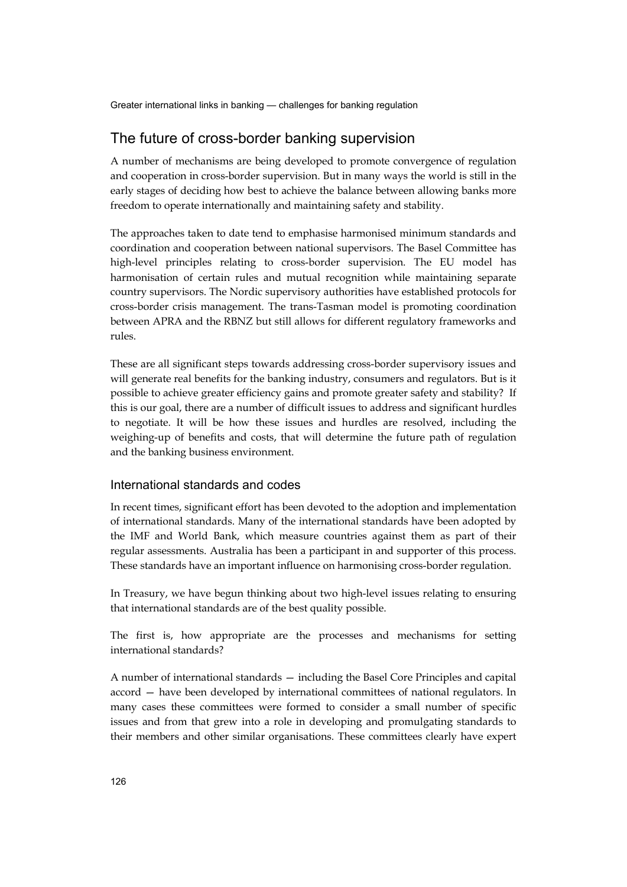# The future of cross-border banking supervision

A number of mechanisms are being developed to promote convergence of regulation and cooperation in cross-border supervision. But in many ways the world is still in the early stages of deciding how best to achieve the balance between allowing banks more freedom to operate internationally and maintaining safety and stability.

The approaches taken to date tend to emphasise harmonised minimum standards and coordination and cooperation between national supervisors. The Basel Committee has high-level principles relating to cross-border supervision. The EU model has harmonisation of certain rules and mutual recognition while maintaining separate country supervisors. The Nordic supervisory authorities have established protocols for cross-border crisis management. The trans-Tasman model is promoting coordination between APRA and the RBNZ but still allows for different regulatory frameworks and rules.

These are all significant steps towards addressing cross-border supervisory issues and will generate real benefits for the banking industry, consumers and regulators. But is it possible to achieve greater efficiency gains and promote greater safety and stability? If this is our goal, there are a number of difficult issues to address and significant hurdles to negotiate. It will be how these issues and hurdles are resolved, including the weighing-up of benefits and costs, that will determine the future path of regulation and the banking business environment.

#### International standards and codes

In recent times, significant effort has been devoted to the adoption and implementation of international standards. Many of the international standards have been adopted by the IMF and World Bank, which measure countries against them as part of their regular assessments. Australia has been a participant in and supporter of this process. These standards have an important influence on harmonising cross-border regulation.

In Treasury, we have begun thinking about two high-level issues relating to ensuring that international standards are of the best quality possible.

The first is, how appropriate are the processes and mechanisms for setting international standards?

A number of international standards — including the Basel Core Principles and capital accord — have been developed by international committees of national regulators. In many cases these committees were formed to consider a small number of specific issues and from that grew into a role in developing and promulgating standards to their members and other similar organisations. These committees clearly have expert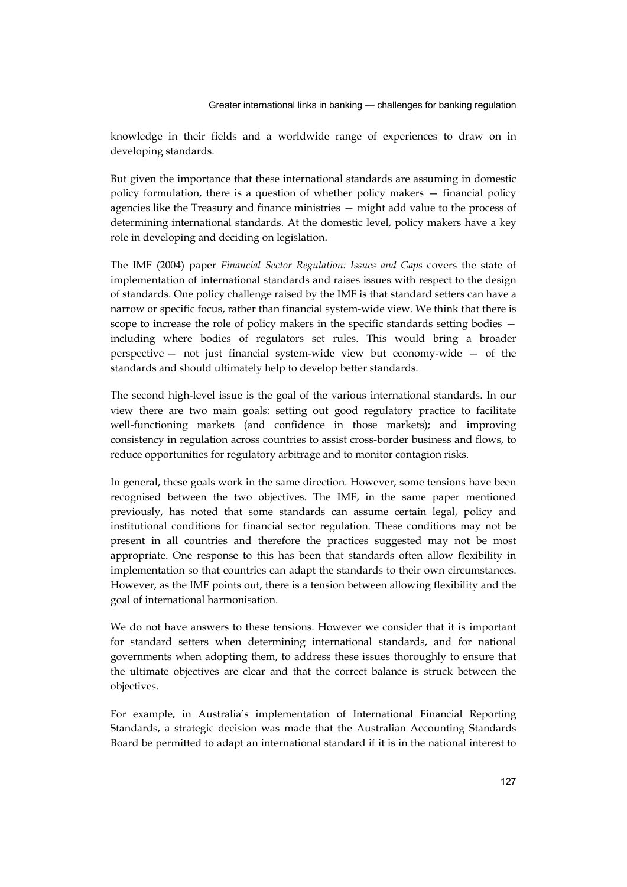knowledge in their fields and a worldwide range of experiences to draw on in developing standards.

But given the importance that these international standards are assuming in domestic policy formulation, there is a question of whether policy makers — financial policy agencies like the Treasury and finance ministries — might add value to the process of determining international standards. At the domestic level, policy makers have a key role in developing and deciding on legislation.

The IMF (2004) paper *Financial Sector Regulation: Issues and Gaps* covers the state of implementation of international standards and raises issues with respect to the design of standards. One policy challenge raised by the IMF is that standard setters can have a narrow or specific focus, rather than financial system-wide view. We think that there is scope to increase the role of policy makers in the specific standards setting bodies including where bodies of regulators set rules. This would bring a broader perspective — not just financial system-wide view but economy-wide — of the standards and should ultimately help to develop better standards.

The second high-level issue is the goal of the various international standards. In our view there are two main goals: setting out good regulatory practice to facilitate well-functioning markets (and confidence in those markets); and improving consistency in regulation across countries to assist cross-border business and flows, to reduce opportunities for regulatory arbitrage and to monitor contagion risks.

In general, these goals work in the same direction. However, some tensions have been recognised between the two objectives. The IMF, in the same paper mentioned previously, has noted that some standards can assume certain legal, policy and institutional conditions for financial sector regulation. These conditions may not be present in all countries and therefore the practices suggested may not be most appropriate. One response to this has been that standards often allow flexibility in implementation so that countries can adapt the standards to their own circumstances. However, as the IMF points out, there is a tension between allowing flexibility and the goal of international harmonisation.

We do not have answers to these tensions. However we consider that it is important for standard setters when determining international standards, and for national governments when adopting them, to address these issues thoroughly to ensure that the ultimate objectives are clear and that the correct balance is struck between the objectives.

For example, in Australia's implementation of International Financial Reporting Standards, a strategic decision was made that the Australian Accounting Standards Board be permitted to adapt an international standard if it is in the national interest to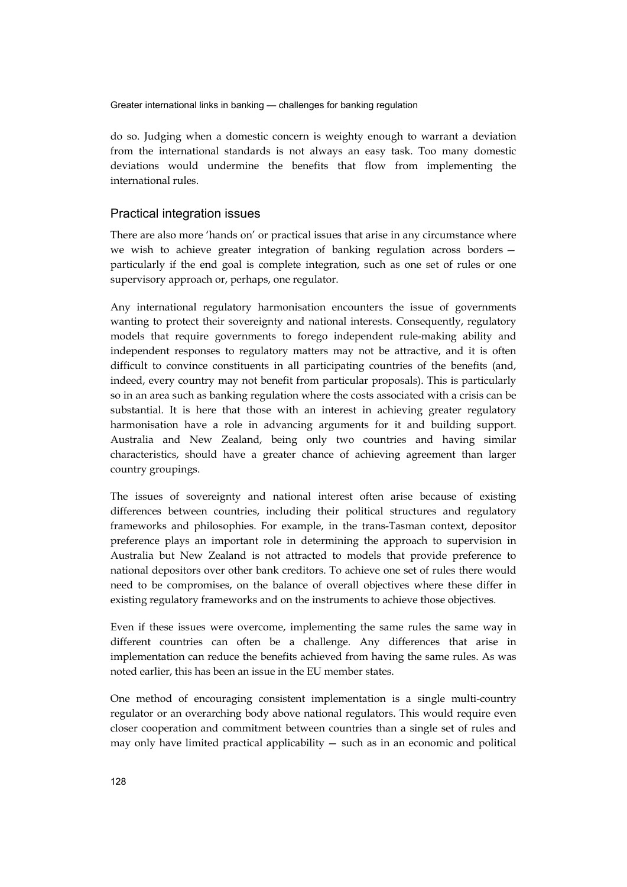do so. Judging when a domestic concern is weighty enough to warrant a deviation from the international standards is not always an easy task. Too many domestic deviations would undermine the benefits that flow from implementing the international rules.

#### Practical integration issues

There are also more 'hands on' or practical issues that arise in any circumstance where we wish to achieve greater integration of banking regulation across borders particularly if the end goal is complete integration, such as one set of rules or one supervisory approach or, perhaps, one regulator.

Any international regulatory harmonisation encounters the issue of governments wanting to protect their sovereignty and national interests. Consequently, regulatory models that require governments to forego independent rule-making ability and independent responses to regulatory matters may not be attractive, and it is often difficult to convince constituents in all participating countries of the benefits (and, indeed, every country may not benefit from particular proposals). This is particularly so in an area such as banking regulation where the costs associated with a crisis can be substantial. It is here that those with an interest in achieving greater regulatory harmonisation have a role in advancing arguments for it and building support. Australia and New Zealand, being only two countries and having similar characteristics, should have a greater chance of achieving agreement than larger country groupings.

The issues of sovereignty and national interest often arise because of existing differences between countries, including their political structures and regulatory frameworks and philosophies. For example, in the trans-Tasman context, depositor preference plays an important role in determining the approach to supervision in Australia but New Zealand is not attracted to models that provide preference to national depositors over other bank creditors. To achieve one set of rules there would need to be compromises, on the balance of overall objectives where these differ in existing regulatory frameworks and on the instruments to achieve those objectives.

Even if these issues were overcome, implementing the same rules the same way in different countries can often be a challenge. Any differences that arise in implementation can reduce the benefits achieved from having the same rules. As was noted earlier, this has been an issue in the EU member states.

One method of encouraging consistent implementation is a single multi-country regulator or an overarching body above national regulators. This would require even closer cooperation and commitment between countries than a single set of rules and may only have limited practical applicability — such as in an economic and political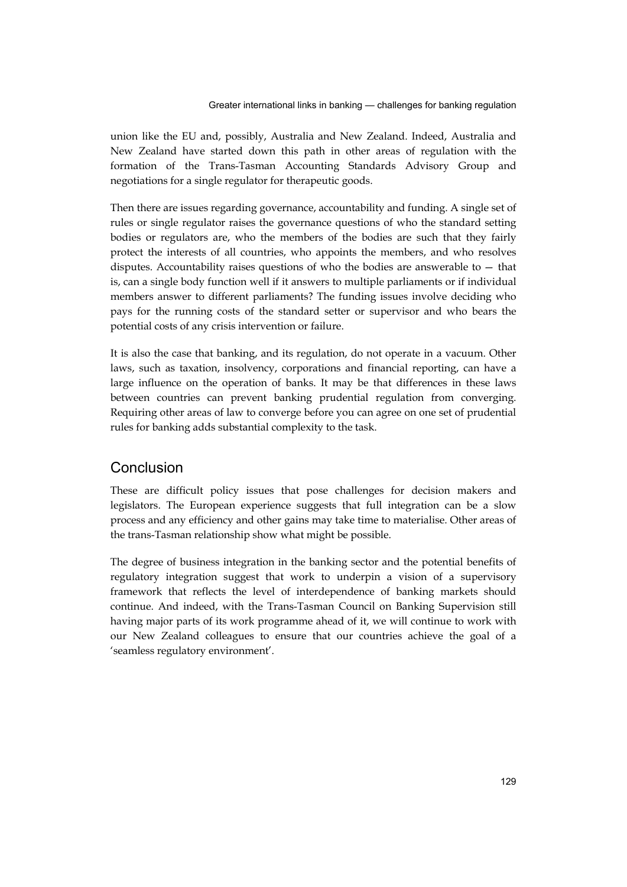union like the EU and, possibly, Australia and New Zealand. Indeed, Australia and New Zealand have started down this path in other areas of regulation with the formation of the Trans-Tasman Accounting Standards Advisory Group and negotiations for a single regulator for therapeutic goods.

Then there are issues regarding governance, accountability and funding. A single set of rules or single regulator raises the governance questions of who the standard setting bodies or regulators are, who the members of the bodies are such that they fairly protect the interests of all countries, who appoints the members, and who resolves disputes. Accountability raises questions of who the bodies are answerable to — that is, can a single body function well if it answers to multiple parliaments or if individual members answer to different parliaments? The funding issues involve deciding who pays for the running costs of the standard setter or supervisor and who bears the potential costs of any crisis intervention or failure.

It is also the case that banking, and its regulation, do not operate in a vacuum. Other laws, such as taxation, insolvency, corporations and financial reporting, can have a large influence on the operation of banks. It may be that differences in these laws between countries can prevent banking prudential regulation from converging. Requiring other areas of law to converge before you can agree on one set of prudential rules for banking adds substantial complexity to the task.

## **Conclusion**

These are difficult policy issues that pose challenges for decision makers and legislators. The European experience suggests that full integration can be a slow process and any efficiency and other gains may take time to materialise. Other areas of the trans-Tasman relationship show what might be possible.

The degree of business integration in the banking sector and the potential benefits of regulatory integration suggest that work to underpin a vision of a supervisory framework that reflects the level of interdependence of banking markets should continue. And indeed, with the Trans-Tasman Council on Banking Supervision still having major parts of its work programme ahead of it, we will continue to work with our New Zealand colleagues to ensure that our countries achieve the goal of a 'seamless regulatory environment'.